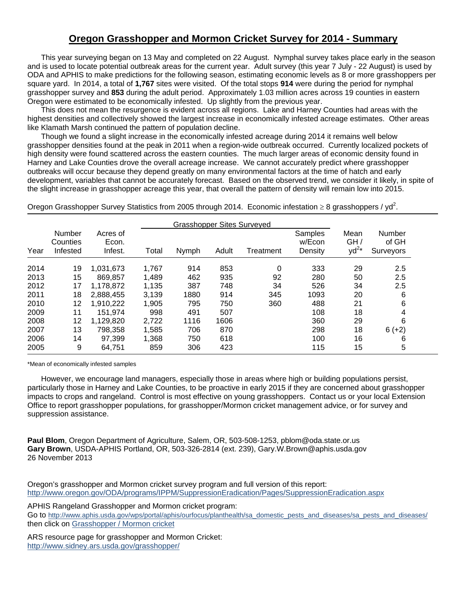## **Oregon Grasshopper and Mormon Cricket Survey for 2014 - Summary**

 This year surveying began on 13 May and completed on 22 August. Nymphal survey takes place early in the season and is used to locate potential outbreak areas for the current year. Adult survey (this year 7 July - 22 August) is used by ODA and APHIS to make predictions for the following season, estimating economic levels as 8 or more grasshoppers per square yard. In 2014, a total of **1,767** sites were visited. Of the total stops **914** were during the period for nymphal grasshopper survey and **853** during the adult period. Approximately 1.03 million acres across 19 counties in eastern Oregon were estimated to be economically infested. Up slightly from the previous year.

 This does not mean the resurgence is evident across all regions. Lake and Harney Counties had areas with the highest densities and collectively showed the largest increase in economically infested acreage estimates. Other areas like Klamath Marsh continued the pattern of population decline.

 Though we found a slight increase in the economically infested acreage during 2014 it remains well below grasshopper densities found at the peak in 2011 when a region-wide outbreak occurred. Currently localized pockets of high density were found scattered across the eastern counties. The much larger areas of economic density found in Harney and Lake Counties drove the overall acreage increase. We cannot accurately predict where grasshopper outbreaks will occur because they depend greatly on many environmental factors at the time of hatch and early development, variables that cannot be accurately forecast. Based on the observed trend, we consider it likely, in spite of the slight increase in grasshopper acreage this year, that overall the pattern of density will remain low into 2015.

Oregon Grasshopper Survey Statistics from 2005 through 2014. Economic infestation  $\geq 8$  grasshoppers / yd<sup>2</sup>.

|      |                                |                              | <b>Grasshopper Sites Surveyed</b> |       |       |           |                              |                          |                              |
|------|--------------------------------|------------------------------|-----------------------------------|-------|-------|-----------|------------------------------|--------------------------|------------------------------|
| Year | Number<br>Counties<br>Infested | Acres of<br>Econ.<br>Infest. | Total                             | Nymph | Adult | Treatment | Samples<br>w/Econ<br>Density | Mean<br>GH/<br>$yd^{2*}$ | Number<br>of GH<br>Surveyors |
| 2014 | 19                             | 1.031.673                    | 1,767                             | 914   | 853   | 0         | 333                          | 29                       | 2.5                          |
| 2013 | 15                             | 869,857                      | 1,489                             | 462   | 935   | 92        | 280                          | 50                       | 2.5                          |
| 2012 | 17                             | 1.178.872                    | 1,135                             | 387   | 748   | 34        | 526                          | 34                       | 2.5                          |
| 2011 | 18                             | 2.888.455                    | 3,139                             | 1880  | 914   | 345       | 1093                         | 20                       | 6                            |
| 2010 | 12                             | 1,910,222                    | 1,905                             | 795   | 750   | 360       | 488                          | 21                       | 6                            |
| 2009 | 11                             | 151.974                      | 998                               | 491   | 507   |           | 108                          | 18                       | 4                            |
| 2008 | 12                             | 1,129,820                    | 2,722                             | 1116  | 1606  |           | 360                          | 29                       | 6                            |
| 2007 | 13                             | 798.358                      | 1,585                             | 706   | 870   |           | 298                          | 18                       | $6 (+2)$                     |
| 2006 | 14                             | 97,399                       | 1,368                             | 750   | 618   |           | 100                          | 16                       | 6                            |
| 2005 | 9                              | 64,751                       | 859                               | 306   | 423   |           | 115                          | 15                       | 5                            |

\*Mean of economically infested samples

 However, we encourage land managers, especially those in areas where high or building populations persist, particularly those in Harney and Lake Counties, to be proactive in early 2015 if they are concerned about grasshopper impacts to crops and rangeland. Control is most effective on young grasshoppers. Contact us or your local Extension Office to report grasshopper populations, for grasshopper/Mormon cricket management advice, or for survey and suppression assistance.

**Paul Blom**, Oregon Department of Agriculture, Salem, OR, 503-508-1253, pblom@oda.state.or.us **Gary Brown**, USDA-APHIS Portland, OR, 503-326-2814 (ext. 239), Gary.W.Brown@aphis.usda.gov 26 November 2013

Oregon's grasshopper and Mormon cricket survey program and full version of this report: http://www.oregon.gov/ODA/programs/IPPM/SuppressionEradication/Pages/SuppressionEradication.aspx

APHIS Rangeland Grasshopper and Mormon cricket program: Go to http://www.aphis.usda.gov/wps/portal/aphis/ourfocus/planthealth/sa\_domestic\_pests\_and\_diseases/sa\_pests\_and\_diseases/ then click on Grasshopper / Mormon cricket

ARS resource page for grasshopper and Mormon Cricket: http://www.sidney.ars.usda.gov/grasshopper/